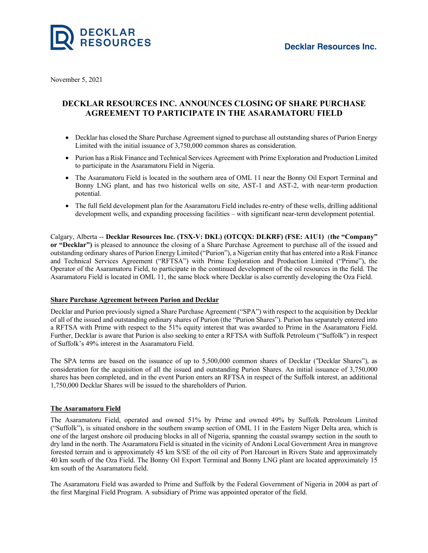



November 5, 2021

# **DECKLAR RESOURCES INC. ANNOUNCES CLOSING OF SHARE PURCHASE AGREEMENT TO PARTICIPATE IN THE ASARAMATORU FIELD**

- Decklar has closed the Share Purchase Agreement signed to purchase all outstanding shares of Purion Energy Limited with the initial issuance of 3,750,000 common shares as consideration.
- Purion has a Risk Finance and Technical Services Agreement with Prime Exploration and Production Limited to participate in the Asaramatoru Field in Nigeria.
- The Asaramatoru Field is located in the southern area of OML 11 near the Bonny Oil Export Terminal and Bonny LNG plant, and has two historical wells on site, AST-1 and AST-2, with near-term production potential.
- The full field development plan for the Asaramatoru Field includes re-entry of these wells, drilling additional development wells, and expanding processing facilities – with significant near-term development potential.

Calgary, Alberta -- **Decklar Resources Inc. (TSX-V: DKL) (OTCQX: DLKRF) (FSE: A1U1)** (**the "Company" or "Decklar")** is pleased to announce the closing of a Share Purchase Agreement to purchase all of the issued and outstanding ordinary shares of Purion Energy Limited ("Purion"), a Nigerian entity that has entered into a Risk Finance and Technical Services Agreement ("RFTSA") with Prime Exploration and Production Limited ("Prime"), the Operator of the Asaramatoru Field, to participate in the continued development of the oil resources in the field. The Asaramatoru Field is located in OML 11, the same block where Decklar is also currently developing the Oza Field.

## **Share Purchase Agreement between Purion and Decklar**

Decklar and Purion previously signed a Share Purchase Agreement ("SPA") with respect to the acquisition by Decklar of all of the issued and outstanding ordinary shares of Purion (the "Purion Shares"). Purion has separately entered into a RFTSA with Prime with respect to the 51% equity interest that was awarded to Prime in the Asaramatoru Field. Further, Decklar is aware that Purion is also seeking to enter a RFTSA with Suffolk Petroleum ("Suffolk") in respect of Suffolk's 49% interest in the Asaramatoru Field.

The SPA terms are based on the issuance of up to 5,500,000 common shares of Decklar ("Decklar Shares"), as consideration for the acquisition of all the issued and outstanding Purion Shares. An initial issuance of 3,750,000 shares has been completed, and in the event Purion enters an RFTSA in respect of the Suffolk interest, an additional 1,750,000 Decklar Shares will be issued to the shareholders of Purion.

## **The Asaramatoru Field**

The Asaramatoru Field, operated and owned 51% by Prime and owned 49% by Suffolk Petroleum Limited ("Suffolk"), is situated onshore in the southern swamp section of OML 11 in the Eastern Niger Delta area, which is one of the largest onshore oil producing blocks in all of Nigeria, spanning the coastal swampy section in the south to dry land in the north. The Asaramatoru Field is situated in the vicinity of Andoni Local Government Area in mangrove forested terrain and is approximately 45 km S/SE of the oil city of Port Harcourt in Rivers State and approximately 40 km south of the Oza Field. The Bonny Oil Export Terminal and Bonny LNG plant are located approximately 15 km south of the Asaramatoru field.

The Asaramatoru Field was awarded to Prime and Suffolk by the Federal Government of Nigeria in 2004 as part of the first Marginal Field Program. A subsidiary of Prime was appointed operator of the field.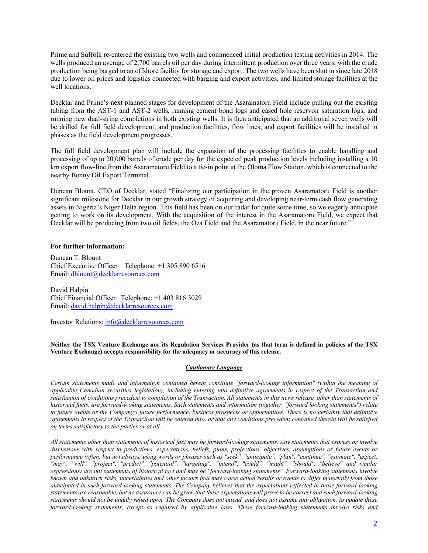Prime and Suffolk re-entered the existing two wells and commenced initial production testing activities in 2014. The wells produced an average of 2,700 barrels oil per day during intermittent production over three years, with the crude production being barged to an offshore facility for storage and export. The two wells have been shut in since late 2018 due to lower oil prices and logistics connected with barging and export activities, and limited storage facilities at the well locations.

Decklar and Prime's next planned stages for development of the Asaramatoru Field include pulling out the existing tubing from the AST-1 and AST-2 wells, running cement bond logs and cased hole reservoir saturation logs, and running new dual-string completions in both existing wells. It is then anticipated that an additional seven wells will be drilled for full field development, and production facilities, flow lines, and export facilities will be installed in phases as the field development progresses.

The full field development plan will include the expansion of the processing facilities to enable handling and processing of up to 20,000 barrels of crude per day for the expected peak production levels including installing a 10 km export flow-line from the Asaramatoru Field to a tie-in point at the Oloma Flow Station, which is connected to the nearby Bonny Oil Export Terminal.

Duncan Blount, CEO of Decklar, stated "Finalizing our participation in the proven Asaramatoru Field is another significant milestone for Decklar in our growth strategy of acquiring and developing near-term cash flow generating assets in Nigeria's Niger Delta region. This field has been on our radar for quite some time, so we eagerly anticipate getting to work on its development. With the acquisition of the interest in the Asaramatoru Field, we expect that Decklar will be producing from two oil fields, the Oza Field and the Asaramatoru Field, in the near future."

## **For further information:**

Duncan T. Blount Chief Executive Officer Telephone: +1 305 890 6516 Email: dblount@decklarresources.com

David Halpin Chief Financial Officer Telephone: +1 403 816 3029 Email: david.halpin@decklarresources.com

Investor Relations: info@decklarresources.com

Neither the TSX Venture Exchange nor its Regulation Services Provider (as that term is defined in policies of the TSX **Venture Exchange) accepts responsibility for the adequacy or accuracy of this release.**

#### *Cautionary Language*

*Certain statements made and information contained herein constitute "forward-looking information" (within the meaning of* applicable Canadian securities legislation), including entering into definitive agreements in respect of the Transaction and satisfaction of conditions precedent to completion of the Transaction. All statements in this news release, other than statements of historical facts, are forward-looking statements. Such statements and information (together, "forward looking statements") relate to future events or the Company's future performance, business prospects or opportunities. There is no certainty that definitive agreements in respect of the Transaction will be entered into, or that any conditions precedent contained therein will be satisfied *on terms satisfactory to the parties or at all.*

All statements other than statements of historical fact may be forward-looking statements. Any statements that express or involve discussions with respect to predictions, expectations, beliefs, plans, projections, objectives, assumptions or future events or performance (often, but not always, using words or phrases such as "seek", "anticipate", "plan", "continue", "estimate", "expect, *"may", "will", "project", "predict", "potential", "targeting", "intend", "could", "might", "should", "believe" and similar* expressions) are not statements of historical fact and may be "forward-looking statements". Forward-looking statements involve known and unknown risks, uncertainties and other factors that may cause actual results or events to differ materially from those anticipated in such forward-looking statements. The Company believes that the expectations reflected in those forward-looking statements are reasonable, but no assurance can be given that these expectations will prove to be correct and such forward-looking statements should not be unduly relied upon. The Company does not intend, and does not assume any obligation, to update these *forward-looking statements, except as required by applicable laws. These forward-looking statements involve risks and*